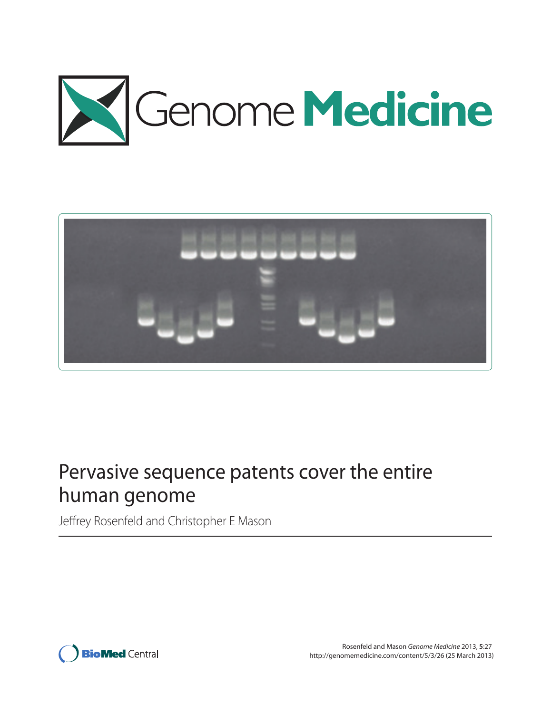



# Pervasive sequence patents cover the entire human genome

Jeffrey Rosenfeld and Christopher E Mason

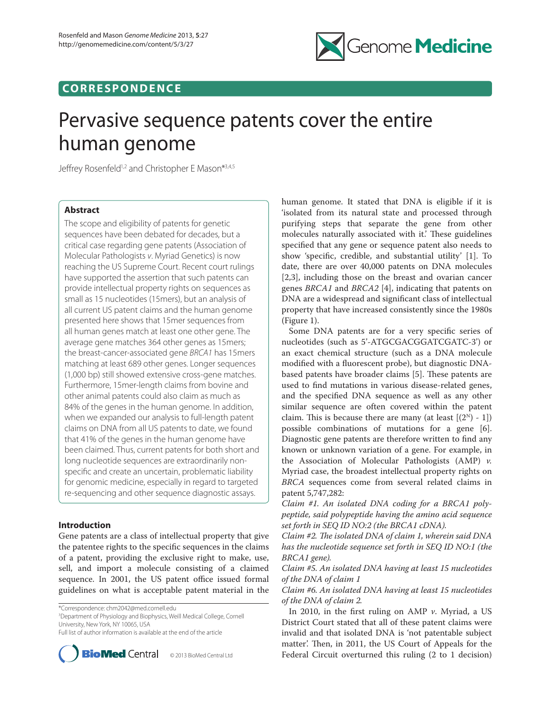

# **CO RR E S P O N D E N C E**

# Pervasive sequence patents cover the entire human genome

Jeffrey Rosenfeld<sup>1,2</sup> and Christopher E Mason<sup>\*3,4,5</sup>

# **Abstract**

The scope and eligibility of patents for genetic sequences have been debated for decades, but a critical case regarding gene patents (Association of Molecular Pathologists v. Myriad Genetics) is now reaching the US Supreme Court. Recent court rulings have supported the assertion that such patents can provide intellectual property rights on sequences as small as 15 nucleotides (15mers), but an analysis of all current US patent claims and the human genome presented here shows that 15mer sequences from all human genes match at least one other gene. The average gene matches 364 other genes as 15mers; the breast-cancer-associated gene BRCA1 has 15mers matching at least 689 other genes. Longer sequences (1,000 bp) still showed extensive cross-gene matches. Furthermore, 15mer-length claims from bovine and other animal patents could also claim as much as 84% of the genes in the human genome. In addition, when we expanded our analysis to full-length patent claims on DNA from all US patents to date, we found that 41% of the genes in the human genome have been claimed. Thus, current patents for both short and long nucleotide sequences are extraordinarily nonspecific and create an uncertain, problematic liability for genomic medicine, especially in regard to targeted re-sequencing and other sequence diagnostic assays.

# **Introduction**

Gene patents are a class of intellectual property that give the patentee rights to the specific sequences in the claims of a patent, providing the exclusive right to make, use, sell, and import a molecule consisting of a claimed sequence. In 2001, the US patent office issued formal guidelines on what is acceptable patent material in the

\*Correspondence: chm2042@med.cornell.edu

<sup>3</sup>Department of Physiology and Biophysics, Weill Medical College, Cornell University, New York, NY 10065, USA

Full list of author information is available at the end of the article



© 2013 BioMed Central Ltd

human genome. It stated that DNA is eligible if it is 'isolated from its natural state and processed through purifying steps that separate the gene from other molecules naturally associated with it.' These guidelines specified that any gene or sequence patent also needs to show 'specific, credible, and substantial utility' [1]. To date, there are over 40,000 patents on DNA molecules [2,3], including those on the breast and ovarian cancer genes BRCA1 and BRCA2 [4], indicating that patents on DNA are a widespread and significant class of intellectual property that have increased consistently since the 1980s (Figure 1).

Some DNA patents are for a very specific series of nucleotides (such as 5'-ATGCGACGGATCGATC-3') or an exact chemical structure (such as a DNA molecule modified with a fluorescent probe), but diagnostic DNAbased patents have broader claims [5]. These patents are used to find mutations in various disease-related genes, and the specified DNA sequence as well as any other similar sequence are often covered within the patent claim. This is because there are many (at least  $[(2^N) - 1]$ ) possible combinations of mutations for a gene [6]. Diagnostic gene patents are therefore written to find any known or unknown variation of a gene. For example, in the Association of Molecular Pathologists (AMP) v. Myriad case, the broadest intellectual property rights on BRCA sequences come from several related claims in patent 5,747,282:

Claim #1. An isolated DNA coding for a BRCA1 polypeptide, said polypeptide having the amino acid sequence set forth in SEQ ID NO:2 (the BRCA1 cDNA).

Claim #2. The isolated DNA of claim 1, wherein said DNA has the nucleotide sequence set forth in SEQ ID NO:1 (the BRCA1 gene).

Claim #5. An isolated DNA having at least 15 nucleotides of the DNA of claim 1

Claim #6. An isolated DNA having at least 15 nucleotides of the DNA of claim 2.

In 2010, in the first ruling on AMP  $\nu$ . Myriad, a US District Court stated that all of these patent claims were invalid and that isolated DNA is 'not patentable subject matter'. Then, in 2011, the US Court of Appeals for the Federal Circuit overturned this ruling (2 to 1 decision)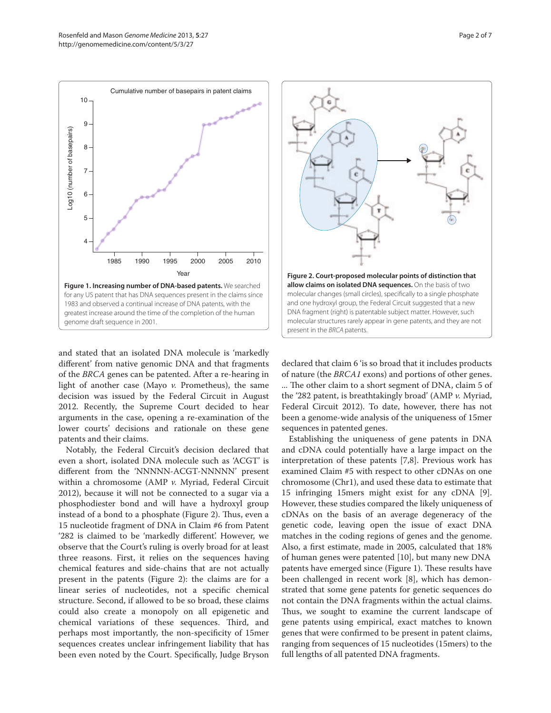

and stated that an isolated DNA molecule is 'markedly different' from native genomic DNA and that fragments of the BRCA genes can be patented. After a re-hearing in light of another case (Mayo v. Prometheus), the same decision was issued by the Federal Circuit in August 2012. Recently, the Supreme Court decided to hear arguments in the case, opening a re-examination of the lower courts' decisions and rationale on these gene patents and their claims.

Notably, the Federal Circuit's decision declared that even a short, isolated DNA molecule such as 'ACGT' is different from the 'NNNNN-ACGT-NNNNN' present within a chromosome (AMP v. Myriad, Federal Circuit 2012), because it will not be connected to a sugar via a phosphodiester bond and will have a hydroxyl group instead of a bond to a phosphate (Figure 2). Thus, even a 15 nucleotide fragment of DNA in Claim #6 from Patent '282 is claimed to be 'markedly different'. However, we observe that the Court's ruling is overly broad for at least three reasons. First, it relies on the sequences having chemical features and side-chains that are not actually present in the patents (Figure 2): the claims are for a linear series of nucleotides, not a specific chemical structure. Second, if allowed to be so broad, these claims could also create a monopoly on all epigenetic and chemical variations of these sequences. Third, and perhaps most importantly, the non-specificity of 15mer sequences creates unclear infringement liability that has been even noted by the Court. Specifically, Judge Bryson



declared that claim 6 'is so broad that it includes products of nature (the BRCA1 exons) and portions of other genes. ... The other claim to a short segment of DNA, claim 5 of the '282 patent, is breathtakingly broad' (AMP v. Myriad, Federal Circuit 2012). To date, however, there has not been a genome-wide analysis of the uniqueness of 15mer sequences in patented genes.

Establishing the uniqueness of gene patents in DNA and cDNA could potentially have a large impact on the interpretation of these patents [7,8]. Previous work has examined Claim #5 with respect to other cDNAs on one chromosome (Chr1), and used these data to estimate that 15 infringing 15mers might exist for any cDNA [9]. However, these studies compared the likely uniqueness of cDNAs on the basis of an average degeneracy of the genetic code, leaving open the issue of exact DNA matches in the coding regions of genes and the genome. Also, a first estimate, made in 2005, calculated that 18% patents have emerged since (Figure 1). These results have been challenged in recent work [8], which has demonstrated that some gene patents for genetic sequences do not contain the DNA fragments within the actual claims. Thus, we sought to examine the current landscape of gene patents using empirical, exact matches to known genes that were confirmed to be present in patent claims, ranging from sequences of 15 nucleotides (15mers) to the full lengths of all patented DNA fragments. of human genes were patented [10], but many new DNA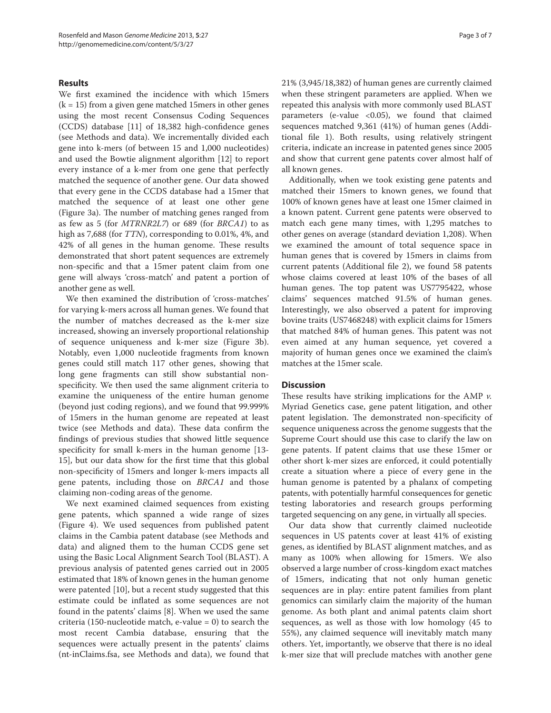### **Results**

We first examined the incidence with which 15mers  $(k = 15)$  from a given gene matched 15 mers in other genes using the most recent Consensus Coding Sequences (CCDS) database [11] of 18,382 high-confidence genes (see Methods and data). We incrementally divided each gene into k-mers (of between 15 and 1,000 nucleotides) and used the Bowtie alignment algorithm [12] to report every instance of a k-mer from one gene that perfectly matched the sequence of another gene. Our data showed that every gene in the CCDS database had a 15mer that matched the sequence of at least one other gene (Figure 3a). The number of matching genes ranged from as few as 5 (for MTRNR2L7) or 689 (for BRCA1) to as high as 7,688 (for *TTN*), corresponding to 0.01%, 4%, and 42% of all genes in the human genome. These results demonstrated that short patent sequences are extremely non-specific and that a 15mer patent claim from one gene will always 'cross-match' and patent a portion of another gene as well.

We then examined the distribution of 'cross-matches' for varying k-mers across all human genes. We found that the number of matches decreased as the k-mer size increased, showing an inversely proportional relationship of sequence uniqueness and k-mer size (Figure 3b). Notably, even 1,000 nucleotide fragments from known genes could still match 117 other genes, showing that long gene fragments can still show substantial nonspecificity. We then used the same alignment criteria to examine the uniqueness of the entire human genome (beyond just coding regions), and we found that 99.999% of 15mers in the human genome are repeated at least twice (see Methods and data). These data confirm the findings of previous studies that showed little sequence specificity for small k-mers in the human genome [13-15], but our data show for the first time that this global non-specificity of 15mers and longer k-mers impacts all gene patents, including those on BRCA1 and those claiming non-coding areas of the genome.

We next examined claimed sequences from existing gene patents, which spanned a wide range of sizes (Figure 4). We used sequences from published patent claims in the Cambia patent database (see Methods and data) and aligned them to the human CCDS gene set using the Basic Local Alignment Search Tool (BLAST). A previous analysis of patented genes carried out in 2005 estimated that 18% of known genes in the human genome were patented [10], but a recent study suggested that this estimate could be inflated as some sequences are not found in the patents' claims [8]. When we used the same criteria (150-nucleotide match, e-value  $= 0$ ) to search the most recent Cambia database, ensuring that the sequences were actually present in the patents' claims (nt-inClaims.fsa, see Methods and data), we found that 21% (3,945/18,382) of human genes are currently claimed when these stringent parameters are applied. When we repeated this analysis with more commonly used BLAST parameters (e-value <0.05), we found that claimed sequences matched 9,361 (41%) of human genes (Additional file 1). Both results, using relatively stringent criteria, indicate an increase in patented genes since 2005 and show that current gene patents cover almost half of all known genes.

Additionally, when we took existing gene patents and matched their 15mers to known genes, we found that 100% of known genes have at least one 15mer claimed in a known patent. Current gene patents were observed to match each gene many times, with 1,295 matches to other genes on average (standard deviation 1,208). When we examined the amount of total sequence space in human genes that is covered by 15mers in claims from current patents (Additional file 2), we found 58 patents whose claims covered at least 10% of the bases of all human genes. The top patent was US7795422, whose claims' sequences matched 91.5% of human genes. Interestingly, we also observed a patent for improving bovine traits (US7468248) with explicit claims for 15mers that matched 84% of human genes. This patent was not even aimed at any human sequence, yet covered a majority of human genes once we examined the claim's matches at the 15mer scale.

#### **Discussion**

These results have striking implications for the AMP  $\nu$ . Myriad Genetics case, gene patent litigation, and other patent legislation. The demonstrated non-specificity of sequence uniqueness across the genome suggests that the Supreme Court should use this case to clarify the law on gene patents. If patent claims that use these 15mer or other short k-mer sizes are enforced, it could potentially create a situation where a piece of every gene in the human genome is patented by a phalanx of competing patents, with potentially harmful consequences for genetic testing laboratories and research groups performing targeted sequencing on any gene, in virtually all species.

Our data show that currently claimed nucleotide sequences in US patents cover at least 41% of existing genes, as identified by BLAST alignment matches, and as many as 100% when allowing for 15mers. We also observed a large number of cross-kingdom exact matches of 15mers, indicating that not only human genetic sequences are in play: entire patent families from plant genomics can similarly claim the majority of the human genome. As both plant and animal patents claim short sequences, as well as those with low homology (45 to 55%), any claimed sequence will inevitably match many others. Yet, importantly, we observe that there is no ideal k-mer size that will preclude matches with another gene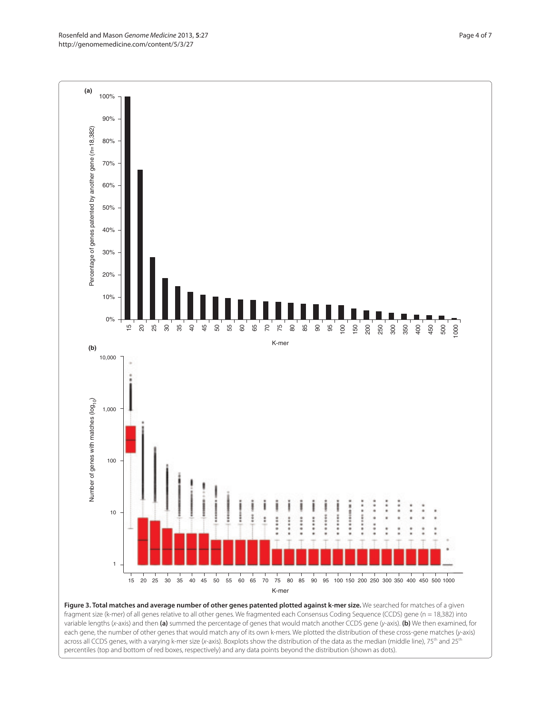Rosenfeld and Mason Genome Medicine 2013, **5**:27 http://genomemedicine.com/content/5/3/27



**Figure 3. Total matches and average number of other genes patented plotted against k-mer size.** We searched for matches of a given fragment size (k-mer) of all genes relative to all other genes. We fragmented each Consensus Coding Sequence (CCDS) gene (n = 18,382) into variable lengths (x-axis) and then **(a)** summed the percentage of genes that would match another CCDS gene (y-axis). **(b)** We then examined, for each gene, the number of other genes that would match any of its own k-mers. We plotted the distribution of these cross-gene matches (y-axis) across all CCDS genes, with a varying k-mer size (x-axis). Boxplots show the distribution of the data as the median (middle line), 75<sup>th</sup> and 25<sup>th</sup> percentiles (top and bottom of red boxes, respectively) and any data points beyond the distribution (shown as dots).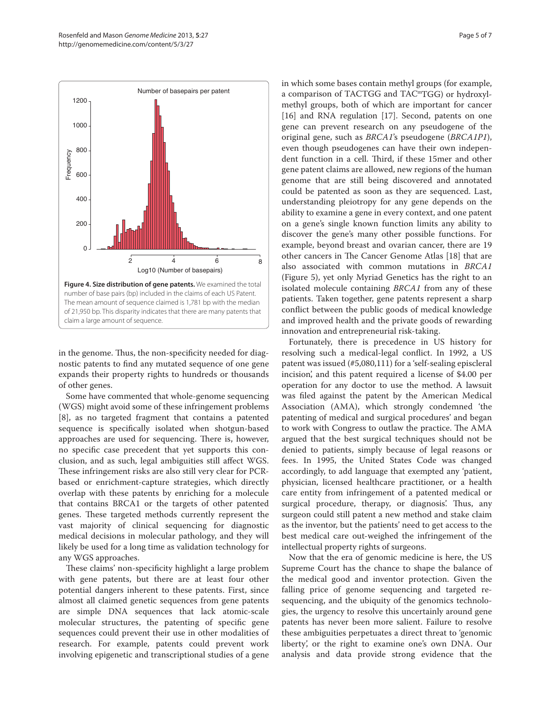

in the genome. Thus, the non-specificity needed for diagnostic patents to find any mutated sequence of one gene expands their property rights to hundreds or thousands of other genes.

Some have commented that whole-genome sequencing (WGS) might avoid some of these infringement problems [8], as no targeted fragment that contains a patented sequence is specifically isolated when shotgun-based approaches are used for sequencing. There is, however, no specific case precedent that yet supports this conclusion, and as such, legal ambiguities still affect WGS. These infringement risks are also still very clear for PCRbased or enrichment-capture strategies, which directly overlap with these patents by enriching for a molecule that contains BRCA1 or the targets of other patented genes. These targeted methods currently represent the vast majority of clinical sequencing for diagnostic medical decisions in molecular pathology, and they will likely be used for a long time as validation technology for any WGS approaches.

These claims' non-specificity highlight a large problem with gene patents, but there are at least four other potential dangers inherent to these patents. First, since almost all claimed genetic sequences from gene patents are simple DNA sequences that lack atomic-scale molecular structures, the patenting of specific gene sequences could prevent their use in other modalities of research. For example, patents could prevent work involving epigenetic and transcriptional studies of a gene in which some bases contain methyl groups (for example, a comparison of TACTGG and TAC<sup>m</sup>TGG) or hydroxylmethyl groups, both of which are important for cancer [16] and RNA regulation [17]. Second, patents on one gene can prevent research on any pseudogene of the original gene, such as BRCA1's pseudogene (BRCA1P1), even though pseudogenes can have their own independent function in a cell. Third, if these 15mer and other gene patent claims are allowed, new regions of the human genome that are still being discovered and annotated could be patented as soon as they are sequenced. Last, understanding pleiotropy for any gene depends on the ability to examine a gene in every context, and one patent on a gene's single known function limits any ability to discover the gene's many other possible functions. For example, beyond breast and ovarian cancer, there are 19 other cancers in The Cancer Genome Atlas [18] that are also associated with common mutations in BRCA1 (Figure 5), yet only Myriad Genetics has the right to an isolated molecule containing BRCA1 from any of these patients. Taken together, gene patents represent a sharp conflict between the public goods of medical knowledge and improved health and the private goods of rewarding innovation and entrepreneurial risk-taking.

Fortunately, there is precedence in US history for resolving such a medical-legal conflict. In 1992, a US patent was issued (#5,080,111) for a 'self-sealing episcleral incision', and this patent required a license of \$4.00 per operation for any doctor to use the method. A lawsuit was filed against the patent by the American Medical Association (AMA), which strongly condemned 'the patenting of medical and surgical procedures' and began to work with Congress to outlaw the practice. The AMA argued that the best surgical techniques should not be denied to patients, simply because of legal reasons or fees. In 1995, the United States Code was changed accordingly, to add language that exempted any 'patient, physician, licensed healthcare practitioner, or a health care entity from infringement of a patented medical or surgical procedure, therapy, or diagnosis'. Thus, any surgeon could still patent a new method and stake claim as the inventor, but the patients' need to get access to the best medical care out-weighed the infringement of the intellectual property rights of surgeons.

Now that the era of genomic medicine is here, the US Supreme Court has the chance to shape the balance of the medical good and inventor protection. Given the falling price of genome sequencing and targeted resequencing, and the ubiquity of the genomics technologies, the urgency to resolve this uncertainly around gene patents has never been more salient. Failure to resolve these ambiguities perpetuates a direct threat to 'genomic liberty', or the right to examine one's own DNA. Our analysis and data provide strong evidence that the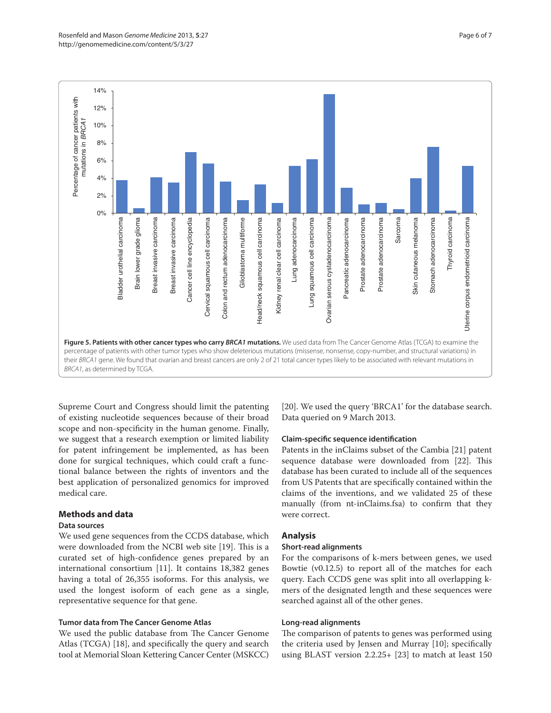

Supreme Court and Congress should limit the patenting of existing nucleotide sequences because of their broad scope and non-specificity in the human genome. Finally, we suggest that a research exemption or limited liability for patent infringement be implemented, as has been done for surgical techniques, which could craft a functional balance between the rights of inventors and the best application of personalized genomics for improved medical care.

# **Methods and data**

#### **Data sources**

We used gene sequences from the CCDS database, which were downloaded from the NCBI web site [19]. This is a curated set of high-confidence genes prepared by an international consortium [11]. It contains 18,382 genes having a total of 26,355 isoforms. For this analysis, we used the longest isoform of each gene as a single, representative sequence for that gene.

### **Tumor data from The Cancer Genome Atlas**

We used the public database from The Cancer Genome Atlas (TCGA) [18], and specifically the query and search tool at Memorial Sloan Kettering Cancer Center (MSKCC)

[20]. We used the query 'BRCA1' for the database search. Data queried on 9 March 2013.

#### **Claim-specific sequence identification**

Patents in the inClaims subset of the Cambia [21] patent sequence database were downloaded from [22]. This database has been curated to include all of the sequences from US Patents that are specifically contained within the claims of the inventions, and we validated 25 of these manually (from nt-inClaims.fsa) to confirm that they were correct.

# **Analysis**

#### **Short-read alignments**

For the comparisons of k-mers between genes, we used Bowtie (v0.12.5) to report all of the matches for each query. Each CCDS gene was split into all overlapping kmers of the designated length and these sequences were searched against all of the other genes.

#### **Long-read alignments**

The comparison of patents to genes was performed using the criteria used by Jensen and Murray [10]; specifically using BLAST version 2.2.25+ [23] to match at least 150